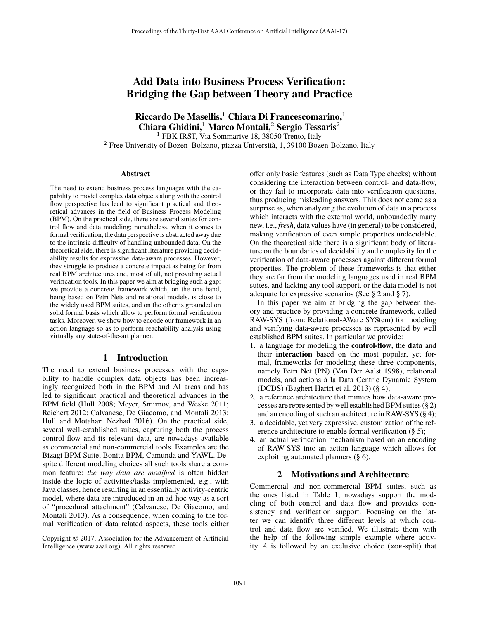# **Add Data into Business Process Verification: Bridging the Gap between Theory and Practice**

**Riccardo De Masellis,**<sup>1</sup> **Chiara Di Francescomarino,**<sup>1</sup> **Chiara Ghidini,**<sup>1</sup> **Marco Montali,**<sup>2</sup> **Sergio Tessaris**<sup>2</sup>

<sup>1</sup> FBK-IRST, Via Sommarive 18, 38050 Trento, Italy

<sup>2</sup> Free University of Bozen–Bolzano, piazza Università, 1, 39100 Bozen-Bolzano, Italy

#### **Abstract**

The need to extend business process languages with the capability to model complex data objects along with the control flow perspective has lead to significant practical and theoretical advances in the field of Business Process Modeling (BPM). On the practical side, there are several suites for control flow and data modeling; nonetheless, when it comes to formal verification, the data perspective is abstracted away due to the intrinsic difficulty of handling unbounded data. On the theoretical side, there is significant literature providing decidability results for expressive data-aware processes. However, they struggle to produce a concrete impact as being far from real BPM architectures and, most of all, not providing actual verification tools. In this paper we aim at bridging such a gap: we provide a concrete framework which, on the one hand, being based on Petri Nets and relational models, is close to the widely used BPM suites, and on the other is grounded on solid formal basis which allow to perform formal verification tasks. Moreover, we show how to encode our framework in an action language so as to perform reachability analysis using virtually any state-of-the-art planner.

#### **1 Introduction**

The need to extend business processes with the capability to handle complex data objects has been increasingly recognized both in the BPM and AI areas and has led to significant practical and theoretical advances in the BPM field (Hull 2008; Meyer, Smirnov, and Weske 2011; Reichert 2012; Calvanese, De Giacomo, and Montali 2013; Hull and Motahari Nezhad 2016). On the practical side, several well-established suites, capturing both the process control-flow and its relevant data, are nowadays available as commercial and non-commercial tools. Examples are the Bizagi BPM Suite, Bonita BPM, Camunda and YAWL. Despite different modeling choices all such tools share a common feature: *the way data are modified* is often hidden inside the logic of activities/tasks implemented, e.g., with Java classes, hence resulting in an essentially activity-centric model, where data are introduced in an ad-hoc way as a sort of "procedural attachment" (Calvanese, De Giacomo, and Montali 2013). As a consequence, when coming to the formal verification of data related aspects, these tools either

offer only basic features (such as Data Type checks) without considering the interaction between control- and data-flow, or they fail to incorporate data into verification questions, thus producing misleading answers. This does not come as a surprise as, when analyzing the evolution of data in a process which interacts with the external world, unboundedly many new, i.e., *fresh*, data values have (in general) to be considered, making verification of even simple properties undecidable. On the theoretical side there is a significant body of literature on the boundaries of decidability and complexity for the verification of data-aware processes against different formal properties. The problem of these frameworks is that either they are far from the modeling languages used in real BPM suites, and lacking any tool support, or the data model is not adequate for expressive scenarios (See § 2 and § 7).

In this paper we aim at bridging the gap between theory and practice by providing a concrete framework, called RAW-SYS (from: Relational-AWare SYStem) for modeling and verifying data-aware processes as represented by well established BPM suites. In particular we provide:

- 1. a language for modeling the **control-flow**, the **data** and their **interaction** based on the most popular, yet formal, frameworks for modeling these three components, namely Petri Net (PN) (Van Der Aalst 1998), relational models, and actions à la Data Centric Dynamic System (DCDS) (Bagheri Hariri et al. 2013) (§ 4);
- 2. a reference architecture that mimics how data-aware processes are represented by well established BPM suites (§ 2) and an encoding of such an architecture in RAW-SYS (§ 4);
- 3. a decidable, yet very expressive, customization of the reference architecture to enable formal verification (§ 5);
- 4. an actual verification mechanism based on an encoding of RAW-SYS into an action language which allows for exploiting automated planners (§ 6).

# **2 Motivations and Architecture**

Commercial and non-commercial BPM suites, such as the ones listed in Table 1, nowadays support the modeling of both control and data flow and provides consistency and verification support. Focusing on the latter we can identify three different levels at which control and data flow are verified. We illustrate them with the help of the following simple example where activity  $A$  is followed by an exclusive choice (xor-split) that

Copyright © 2017, Association for the Advancement of Artificial Intelligence (www.aaai.org). All rights reserved.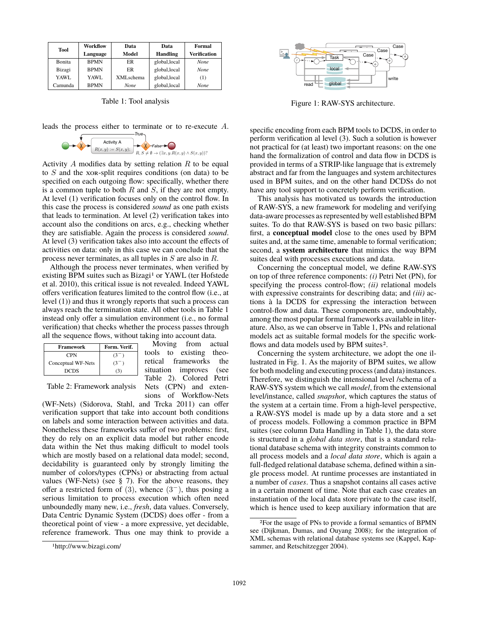| Tool    | Workflow    | Data        | Data            | Formal              |  |
|---------|-------------|-------------|-----------------|---------------------|--|
|         | Language    | Model       | <b>Handling</b> | <b>Verification</b> |  |
| Bonita  | <b>BPMN</b> | ER          | global, local   | <b>None</b>         |  |
| Bizagi  | <b>BPMN</b> | <b>ER</b>   | global, local   | <b>None</b>         |  |
| YAWL.   | YAWL        | XMLschema   | global, local   | (1)                 |  |
| Camunda | <b>BPMN</b> | <b>None</b> | global, local   | <b>None</b>         |  |

Table 1: Tool analysis

leads the process either to terminate or to re-execute A.



Activity  $A$  modifies data by setting relation  $R$  to be equal to S and the xor-split requires conditions (on data) to be specified on each outgoing flow: specifically, whether there is a common tuple to both  $R$  and  $S$ , if they are not empty. At level (1) verification focuses only on the control flow. In this case the process is considered *sound* as one path exists that leads to termination. At level (2) verification takes into account also the conditions on arcs, e.g., checking whether they are satisfiable. Again the process is considered *sound*. At level (3) verification takes also into account the effects of activities on data: only in this case we can conclude that the process never terminates, as all tuples in S are also in R.

Although the process never terminates, when verified by existing BPM suites such as Bizagi<sup>1</sup> or YAWL (ter Hofstede et al. 2010), this critical issue is not revealed. Indeed YAWL offers verification features limited to the control flow (i.e., at level (1)) and thus it wrongly reports that such a process can always reach the termination state. All other tools in Table 1 instead only offer a simulation environment (i.e., no formal verification) that checks whether the process passes through all the sequence flows, without taking into account data.

> Moving from actual tools to existing theoretical frameworks the situation improves (see Table 2). Colored Petri Nets (CPN) and exten-

| Framework          | Form. Verif. |  |
|--------------------|--------------|--|
| <b>CPN</b>         | K5.          |  |
| Conceptual WF-Nets | -65          |  |
| <b>DCDS</b>        |              |  |

Table 2: Framework analysis

sions of Workflow-Nets (WF-Nets) (Sidorova, Stahl, and Trcka 2011) can offer verification support that take into account both conditions on labels and some interaction between activities and data. Nonetheless these frameworks suffer of two problems: first, they do rely on an explicit data model but rather encode data within the Net thus making difficult to model tools which are mostly based on a relational data model; second, decidability is guaranteed only by strongly limiting the number of colors/types (CPNs) or abstracting from actual values (WF-Nets) (see § 7). For the above reasons, they offer a restricted form of  $(3)$ , whence  $(3^-)$ , thus posing a serious limitation to process execution which often need unboundedly many new, i.e., *fresh*, data values. Conversely, Data Centric Dynamic System (DCDS) does offer - from a theoretical point of view - a more expressive, yet decidable, reference framework. Thus one may think to provide a

Task *<sup>i</sup> o* local Case Task *<sup>i</sup> o* local Case read **the global** write *i* **i i** *i i i i i i i i i i i i i i i i i i i i i i i i i i i i i i i i i i i o* local Case

Figure 1: RAW-SYS architecture.

specific encoding from each BPM tools to DCDS, in order to perform verification al level (3). Such a solution is however not practical for (at least) two important reasons: on the one hand the formalization of control and data flow in DCDS is provided in terms of a STRIP-like language that is extremely abstract and far from the languages and system architectures used in BPM suites, and on the other hand DCDSs do not have any tool support to concretely perform verification.

This analysis has motivated us towards the introduction of RAW-SYS, a new framework for modeling and verifying data-aware processes as represented by well established BPM suites. To do that RAW-SYS is based on two basic pillars: first, a **conceptual model** close to the ones used by BPM suites and, at the same time, amenable to formal verification; second, a **system architecture** that mimics the way BPM suites deal with processes executions and data.

Concerning the conceptual model, we define RAW-SYS on top of three reference components: *(i)* Petri Net (PN), for specifying the process control-flow; *(ii)* relational models with expressive constraints for describing data; and *(iii)* actions à la DCDS for expressing the interaction between control-flow and data. These components are, undoubtably, among the most popular formal frameworks available in literature. Also, as we can observe in Table 1, PNs and relational models act as suitable formal models for the specific workflows and data models used by BPM suites<sup>2</sup>.

Concerning the system architecture, we adopt the one illustrated in Fig. 1. As the majority of BPM suites, we allow for both modeling and executing process (and data) instances. Therefore, we distinguish the intensional level /schema of a RAW-SYS system which we call *model*, from the extensional level/instance, called *snapshot*, which captures the status of the system at a certain time. From a high-level perspective, a RAW-SYS model is made up by a data store and a set of process models. Following a common practice in BPM suites (see column Data Handling in Table 1), the data store is structured in a *global data store*, that is a standard relational database schema with integrity constraints common to all process models and a *local data store*, which is again a full-fledged relational database schema, defined within a single process model. At runtime processes are instantiated in a number of *cases*. Thus a snapshot contains all cases active in a certain moment of time. Note that each case creates an instantiation of the local data store private to the case itself, which is hence used to keep auxiliary information that are

<sup>1</sup>http://www.bizagi.com/

<sup>2</sup>For the usage of PNs to provide a formal semantics of BPMN see (Dijkman, Dumas, and Ouyang 2008); for the integration of XML schemas with relational database systems see (Kappel, Kapsammer, and Retschitzegger 2004).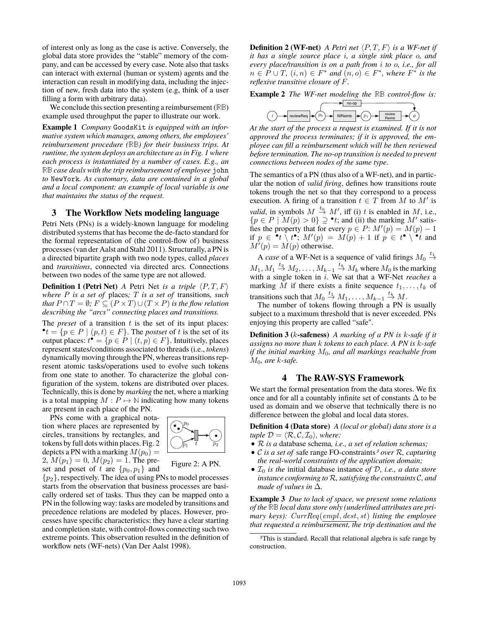of interest only as long as the case is active. Conversely, the global data store provides the "stable" memory of the company, and can be accessed by every case. Note also that tasks can interact with external (human or system) agents and the interaction can result in modifying data, including the injection of new, fresh data into the system (e.g, think of a user filling a form with arbitrary data).

We conclude this section presenting a reimbursement (**RB**) example used throughput the paper to illustrate our work.

**Example 1** *Company* GoodsKit *is equipped with an informative system which manages, among others, the employees' reimbursement procedure (***RB***) for their business trips. At runtime, the system deploys an architecture as in Fig. 1 where each process is instantiated by a number of cases. E.g., an* **RB** *case deals with the trip reimbursement of employee* john *to* NewYork*. As customary, data are contained in a global and a local component: an example of local variable is one that maintains the status of the request.*

# **3 The Workflow Nets modeling language**

Petri Nets (PNs) is a widely-known language for modeling distributed systems that has become the de-facto standard for the formal representation of (the control-flow of) business processes (van der Aalst and Stahl 2011). Structurally, a PN is a directed bipartite graph with two node types, called *places* and *transitions*, connected via directed arcs. Connections between two nodes of the same type are not allowed.

**Definition 1 (Petri Net)** *A* Petri Net *is a triple*  $\langle P, T, F \rangle$ *where* P *is a set of* places*;* T *is a set of* transitions*, such that*  $P \cap T = \emptyset$ *;*  $F \subseteq (P \times T) \cup (T \times P)$  *is the flow relation describing the "arcs" connecting places and transitions.*

The *preset* of a transition  $t$  is the set of its input places:  $\bullet$ *t* = { $p \in P \mid (p, t) \in F$ }. The *postset* of *t* is the set of its output places:  $t^{\bullet} = \{ p \in P \mid (t, p) \in F \}$ . Intuitively, places represent states/conditions associated to threads (i.e., *tokens*) dynamically moving through the PN, whereas transitions represent atomic tasks/operations used to evolve such tokens from one state to another. To characterize the global configuration of the system, tokens are distributed over places. Technically, this is done by *marking* the net, where a marking is a total mapping  $M : P \mapsto \mathbb{N}$  indicating how many tokens are present in each place of the PN.

PNs come with a graphical notation where places are represented by circles, transitions by rectangles, and tokens by full dots within places. Fig. 2 depicts a PN with a marking  $M(p_0) =$ 2,  $M(p_1)=0$ ,  $M(p_2)=1$ . The preset and poset of t are  $\{p_0, p_1\}$  and



Figure 2: A PN.

 $\{p_2\}$ , respectively. The idea of using PNs to model processes starts from the observation that business processes are basically ordered set of tasks. Thus they can be mapped onto a PN in the following way: tasks are modeled by transitions and precedence relations are modeled by places. However, processes have specific characteristics: they have a clear starting and completion state, with control-flows connecting such two extreme points. This observation resulted in the definition of workflow nets (WF-nets) (Van Der Aalst 1998).

**Definition 2 (WF-net)** *A Petri net*  $\langle P, T, F \rangle$  *is a WF-net if it has a single source place* i*, a single sink place* o*, and every place/transition is on a path from* i *to* o*, i.e., for all*  $n \in P \cup T$ ,  $(i, n) \in F^*$  *and*  $(n, o) \in F^*$ *, where*  $F^*$  *is the reflexive transitive closure of* F*.*

**Example 2** *The WF-net modeling the* **RB** *control-flow is:*

$$
(i) \rightarrow \text{reviewReg} \rightarrow (p_0) \rightarrow \text{fillReimb} \rightarrow (p_1) \rightarrow \text{review} \rightarrow (q_2) \rightarrow \text{rev} \rightarrow (q_3) \rightarrow \text{relb} \rightarrow (q_4) \rightarrow \text{relb} \rightarrow (q_5) \rightarrow \text{relb} \rightarrow (q_6) \rightarrow \text{relb}
$$

*At the start of the process a request is examined. If it is not approved the process terminates; if it is approved, the employee can fill a reimbursement which will be then reviewed before termination. The no-op transition is needed to prevent connections between nodes of the same type.*

The semantics of a PN (thus also of a WF-net), and in particular the notion of *valid firing*, defines how transitions route tokens trough the net so that they correspond to a process execution. A firing of a transition  $t \in T$  from M to M' is *valid*, in symbols  $M \xrightarrow{t_0} M'$ , iff (i) t is enabled in M, i.e.,  ${p \in P \mid M(p) > 0} \supset \mathbf{P}t$ ; and (ii) the marking M' satisfies the property that for every  $p \in P$ :  $M'(p) = M(p) - 1$ if  $p \in \mathbf{P}$   $\mathbf{t} \setminus t^{\bullet}$ ;  $M'(p) = M(p) + 1$  if  $p \in t^{\bullet} \setminus t^{\bullet}t$  and  $M'(p) = M(p)$  otherwise.

A *case* of a WF-Net is a sequence of valid firings  $M_0 \stackrel{t_1}{\rightarrow}$  $M_1, M_1 \stackrel{t_2}{\rightarrow} M_2, \ldots, M_{k-1} \stackrel{t_k}{\rightarrow} M_k$  where  $M_0$  is the marking with a single token in i. We sat that a WF-Net *reaches* a marking M if there exists a finite sequence  $t_1, \ldots, t_k$  of transitions such that  $M_0 \stackrel{t_1}{\rightarrow} M_1, \ldots, M_{k-1} \stackrel{t_k}{\rightarrow} M$ .

The number of tokens flowing through a PN is usually subject to a maximum threshold that is never exceeded. PNs enjoying this property are called "safe".

**Definition 3 (**k**-safeness)** *A marking of a PN is* k*-safe if it assigns no more than* k *tokens to each place. A PN is* k*-safe if the initial marking* M0*, and all markings reachable from* M0*, are* k*-safe.*

# **4 The RAW-SYS Framework**

We start the formal presentation from the data stores. We fix once and for all a countably infinite set of constants  $\Delta$  to be used as domain and we observe that technically there is no difference between the global and local data stores.

**Definition 4 (Data store)** *A (local or global) data store is a tuple*  $\mathcal{D} = \langle \mathcal{R}, \mathcal{C}, \mathcal{I}_0 \rangle$ *, where:* 

- *•* R *is a* database schema*, i.e., a set of relation schemas;*
- *•* <sup>C</sup> *is a set of* safe range FO-constraints*<sup>3</sup> over* <sup>R</sup>*, capturing the real-world constraints of the application domain;*
- $\mathcal{I}_0$  *is the* initial database instance *of*  $\mathcal{D}$ *, i.e., a data store instance conforming to* R*, satisfying the constraints* C*, and made of values in* Δ*.*

**Example 3** *Due to lack of space, we present some relations of the* **RB** *local data store only (underlined attributes are primary keys): CurrReq*(*empl*, *dest*, *st*) *listing the employee that requested a reimbursement, the trip destination and the*

<sup>3</sup>This is standard. Recall that relational algebra is safe range by construction.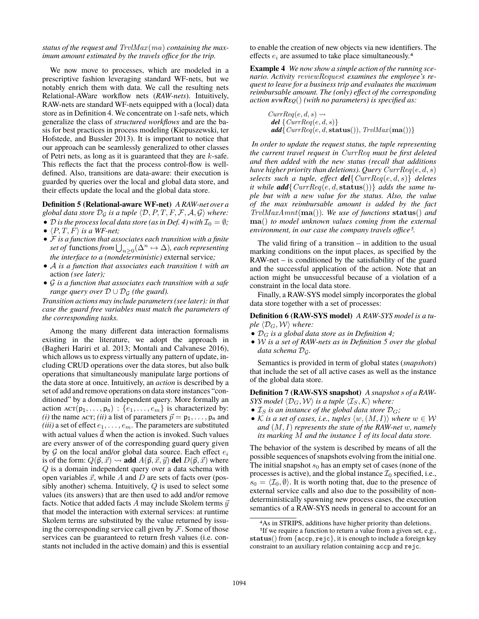*status of the request and TrvlMax* (*ma*) *containing the maximum amount estimated by the travels office for the trip.*

We now move to processes, which are modeled in a prescriptive fashion leveraging standard WF-nets, but we notably enrich them with data. We call the resulting nets Relational-AWare workflow nets (*RAW-nets*). Intuitively, RAW-nets are standard WF-nets equipped with a (local) data store as in Definition 4. We concentrate on 1-safe nets, which generalize the class of *structured workflows* and are the basis for best practices in process modeling (Kiepuszewski, ter Hofstede, and Bussler 2013). It is important to notice that our approach can be seamlessly generalized to other classes of Petri nets, as long as it is guaranteed that they are  $k$ -safe. This reflects the fact that the process control-flow is welldefined. Also, transitions are data-aware: their execution is guarded by queries over the local and global data store, and their effects update the local and the global data store.

**Definition 5 (Relational-aware WF-net)** *A RAW-net over a global data store*  $\mathcal{D}_{\mathcal{G}}$  *is a tuple*  $\langle \mathcal{D}, P, T, F, \mathcal{F}, \mathcal{A}, \mathcal{G} \rangle$  *where:* 

- *D* is the process local data store (as in Def. 4) with  $\mathcal{I}_0 = \emptyset$ ;
- $\langle P, T, F \rangle$  *is a WF-net;*
- *•* F *is a function that associates each transition with a finite set of* functions  $from \bigcup_{n\geq 0} (\Delta^n \mapsto \Delta)$ *, each representing the interface to a (nondeterministic)* external service*;*
- *•* <sup>A</sup> *is a function that associates each transition* <sup>t</sup> *with an* action *(see later);*
- *•* G *is a function that associates each transition with a safe range query over*  $\mathcal{D} \cup \mathcal{D}_{\mathcal{G}}$  *(the guard).*

*Transition actions may include parameters (see later): in that case the guard free variables must match the parameters of the corresponding tasks.*

Among the many different data interaction formalisms existing in the literature, we adopt the approach in (Bagheri Hariri et al. 2013; Montali and Calvanese 2016), which allows us to express virtually any pattern of update, including CRUD operations over the data stores, but also bulk operations that simultaneously manipulate large portions of the data store at once. Intuitively, an *action* is described by a set of add and remove operations on data store instances "conditioned" by a domain independent query. More formally an action  $\text{ACT}(p_1,\ldots,p_n)$ :  $\{e_1,\ldots,e_m\}$  is characterized by: *(i)* the name ACT; *(ii)* a list of parameters  $\vec{p} = p_1, \dots, p_n$  and  $(iii)$  a set of effect  $e_1, \ldots, e_m$ . The parameters are substituted with actual values  $\frac{1}{d}$  when the action is invoked. Such values are every answer of of the corresponding guard query given by  $G$  on the local and/or global data source. Each effect  $e_i$ is of the form:  $Q(\vec{p}, \vec{x}) \leadsto \vec{a}$  **add**  $A(\vec{p}, \vec{x}, \vec{y})$  **del**  $D(\vec{p}, \vec{x})$  where Q is a domain independent query over a data schema with open variables  $\vec{x}$ , while A and D are sets of facts over (possibly another) schema. Intuitively,  $Q$  is used to select some values (its answers) that are then used to add and/or remove facts. Notice that added facts A may include Skolem terms  $\bar{y}$ that model the interaction with external services: at runtime Skolem terms are substituted by the value returned by issuing the corresponding service call given by  $\mathcal F$ . Some of those services can be guaranteed to return fresh values (i.e. constants not included in the active domain) and this is essential

to enable the creation of new objects via new identifiers. The effects  $e_i$  are assumed to take place simultaneously.<sup>4</sup>

**Example 4** *We now show a simple action of the running scenario. Activity reviewRequest examines the employee's request to leave for a business trip and evaluates the maximum reimbursable amount. The (only) effect of the corresponding action rvwReq*() *(with no parameters) is specified as:*

> $Currenteq(e, d, s) \rightarrow$  $del \$  \left\{Currenteq(e, d, s)\right\}  $add{ \} CurReg(e, d, \textbf{status})), TrvMax(\textbf{ma}()) \}$

*In order to update the request status, the tuple representing the current travel request in CurrReq must be first deleted and then added with the new status (recall that additions have higher priority than deletions). Query CurrReq*(e, d, s) *selects such a tuple, effect del*{*CurrReq*(e, d, s)} *deletes it while*  $add$ {  $CurrReg(e, d, status())$ } *adds the same tuple but with a new value for the status. Also, the value of the max reimbursable amount is added by the fact TrvlMaxAmnt*(**ma**())*. We use of functions* **status**() *and* **ma**() *to model unknown values coming from the external environment, in our case the company travels office5.*

The valid firing of a transition  $-$  in addition to the usual marking conditions on the input places, as specified by the RAW-net – is conditioned by the satisfiability of the guard and the successful application of the action. Note that an action might be unsuccessful because of a violation of a constraint in the local data store.

Finally, a RAW-SYS model simply incorporates the global data store together with a set of processes:

**Definition 6 (RAW-SYS model)** *A RAW-SYS model is a tuple*  $\langle \mathcal{D}_G, \mathcal{W} \rangle$  *where:* 

- *•* D<sup>G</sup> *is a global data store as in Definition 4;*
- *•* W *is a set of RAW-nets as in Definition 5 over the global data schema* DG*.*

Semantics is provided in term of global states (*snapshots*) that include the set of all active cases as well as the instance of the global data store.

**Definition 7 (RAW-SYS snapshot)** *A snapshot* s *of a RAW-SYS model*  $\langle \mathcal{D}_G, \mathcal{W} \rangle$  *is a tuple*  $\langle \mathcal{I}_S, \mathcal{K} \rangle$  *where:* 

- $\mathcal{I}_S$  *is an instance of the global data store*  $\mathcal{D}_G$ *;*
- K is a set of cases, i.e., tuples  $\langle w,(M,I) \rangle$  where  $w \in \mathcal{W}$ *and* (M, I) *represents the state of the RAW-net* w*, namely its marking* M *and the instance* I *of its local data store.*

The behavior of the system is described by means of all the possible sequences of snapshots evolving from the initial one. The initial snapshot  $s_0$  has an empty set of cases (none of the processes is active), and the global instance  $\mathcal{I}_0$  specified, i.e.,  $s_0 = \langle \mathcal{I}_0, \emptyset \rangle$ . It is worth noting that, due to the presence of external service calls and also due to the possibility of nondeterministically spawning new process cases, the execution semantics of a RAW-SYS needs in general to account for an

<sup>4</sup>As in STRIPS, additions have higher priority than deletions.

<sup>5</sup>If we require a function to return a value from a given set, e.g., **status**() from {accp, rejc}, it is enough to include a foreign key constraint to an auxiliary relation containing accp and rejc.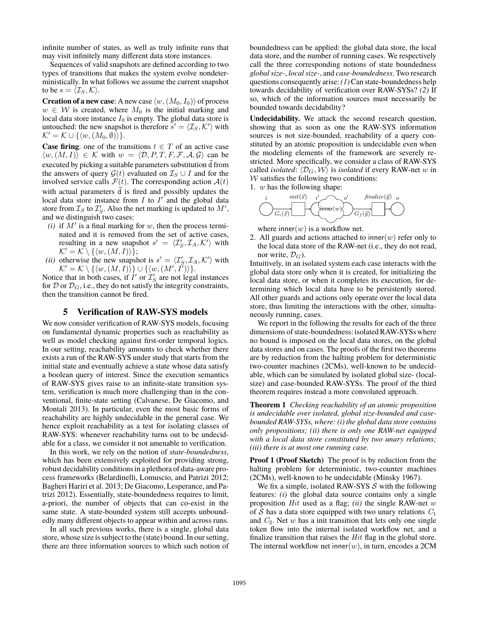infinite number of states, as well as truly infinite runs that may visit infinitely many different data store instances.

Sequences of valid snapshots are defined according to two types of transitions that makes the system evolve nondeterministically. In what follows we assume the current snapshot to be  $s = \langle \mathcal{I}_S, \mathcal{K} \rangle$ .

**Creation of a new case**: A new case  $\langle w,(M_0,I_0)\rangle$  of process  $w \in W$  is created, where  $M_0$  is the initial marking and local data store instance  $I_0$  is empty. The global data store is untouched: the new snapshot is therefore  $s' = \langle \mathcal{I}_S, \mathcal{K}' \rangle$  with  $\mathcal{K}' = \mathcal{K} \cup \{\langle w, (M_0, \emptyset) \rangle\}.$ 

**Case firing**: one of the transitions  $t \in T$  of an active case  $\langle w, (M, I) \rangle \in \mathcal{K}$  with  $w = \langle \mathcal{D}, P, T, F, \mathcal{F}, \mathcal{A}, \mathcal{G} \rangle$  can be executed by picking a suitable parameters substitution  $\vec{d}$  from the answers of query  $\mathcal{G}(t)$  evaluated on  $\mathcal{I}_S \cup I$  and for the involved service calls  $\mathcal{F}(t)$ . The corresponding action  $\mathcal{A}(t)$ with actual parameters  $\dot{d}$  is fired and possibly updates the local data store instance from  $I$  to  $I'$  and the global data store from  $\mathcal{I}_S$  to  $\mathcal{I}'_S$ . Also the net marking is updated to  $M'$ , and we distinguish two cases:

- *(i)* if  $M'$  is a final marking for  $w$ , then the process terminated and it is removed from the set of active cases, resulting in a new snapshot  $s' = \langle \mathcal{I}'_S, \mathcal{I}_A, \mathcal{K}' \rangle$  with  $\mathcal{K}' = \mathcal{K} \setminus \{\langle w, (M, I) \rangle\};$
- (*ii*) otherwise the new snapshot is  $s' = \langle \mathcal{I}'_S, \mathcal{I}_A, \mathcal{K}' \rangle$  with  $\mathcal{K}' = \mathcal{K} \setminus \{ \langle w, (M, I) \rangle \} \cup \{ \langle w, (M', I') \rangle \}.$

Notice that in both cases, if  $I'$  or  $\mathcal{I}'_S$  are not legal instances for  $\mathcal D$  or  $\mathcal D_G$ , i.e., they do not satisfy the integrity constraints, then the transition cannot be fired.

#### **5 Verification of RAW-SYS models**

We now consider verification of RAW-SYS models, focusing on fundamental dynamic properties such as reachability as well as model checking against first-order temporal logics. In our setting, reachability amounts to check whether there exists a run of the RAW-SYS under study that starts from the initial state and eventually achieve a state whose data satisfy a boolean query of interest. Since the execution semantics of RAW-SYS gives raise to an infinite-state transition system, verification is much more challenging than in the conventional, finite-state setting (Calvanese, De Giacomo, and Montali 2013). In particular, even the most basic forms of reachability are highly undecidable in the general case. We hence exploit reachability as a test for isolating classes of RAW-SYS: whenever reachability turns out to be undecidable for a class, we consider it not amenable to verification.

In this work, we rely on the notion of *state-boundedness*, which has been extensively exploited for providing strong, robust decidability conditions in a plethora of data-aware process frameworks (Belardinelli, Lomuscio, and Patrizi 2012; Bagheri Hariri et al. 2013; De Giacomo, Lesperance, and Patrizi 2012). Essentially, state-boundedness requires to limit, a-priori, the number of objects that can co-exist in the same state. A state-bounded system still accepts unboundedly many different objects to appear within and across runs.

In all such previous works, there is a single, global data store, whose size is subject to the (state) bound. In our setting, there are three information sources to which such notion of

boundedness can be applied: the global data store, the local data store, and the number of running cases. We respectively call the three corresponding notions of state boundedness *global size-*, *local size-*, and *case-boundedness*. Two research questions consequently arise:*(1)*Can state-boundedness help towards decidability of verification over RAW-SYSs? *(2)* If so, which of the information sources must necessarily be bounded towards decidability?

**Undecidability.** We attack the second research question, showing that as soon as one the RAW-SYS information sources is not size-bounded, reachability of a query constituted by an atomic proposition is undecidable even when the modeling elements of the framework are severely restricted. More specifically, we consider a class of RAW-SYS called *isolated*:  $\langle \mathcal{D}_G, \mathcal{W} \rangle$  is *isolated* if every RAW-net w in  $W$  satisfies the following two conditions:

1. w has the following shape:



where inner( $w$ ) is a workflow net.

2. All guards and actions attached to inner(w) refer only to the local data store of the RAW-net (i.e., they do not read, nor write,  $\mathcal{D}_G$ ).

Intuitively, in an isolated system each case interacts with the global data store only when it is created, for initializing the local data store, or when it completes its execution, for determining which local data have to be persistently stored. All other guards and actions only operate over the local data store, thus limiting the interactions with the other, simultaneously running, cases.

We report in the following the results for each of the three dimensions of state-boundedness: isolated RAW-SYSs where no bound is imposed on the local data stores, on the global data stores and on cases. The proofs of the first two theorems are by reduction from the halting problem for deterministic two-counter machines (2CMs), well-known to be undecidable, which can be simulated by isolated global size- (localsize) and case-bounded RAW-SYSs. The proof of the third theorem requires instead a more convoluted approach.

**Theorem 1** *Checking reachability of an atomic proposition is undecidable over isolated, global size-bounded and casebounded RAW-SYSs, where: (i) the global data store contains only propositions; (ii) there is only one RAW-net equipped with a local data store constituted by two unary relations; (iii) there is at most one running case.*

**Proof 1 (Proof Sketch)** The proof is by reduction from the halting problem for deterministic, two-counter machines (2CMs), well-known to be undecidable (Minsky 1967).

We fix a simple, isolated RAW-SYS  $S$  with the following features: *(i)* the global data source contains only a single proposition *Hit* used as a flag; *(ii)* the single RAW-net w of <sup>S</sup> has a data store equipped with two unary relations *<sup>C</sup>*<sup>1</sup> and *C*2. Net w has a init transition that lets only one single token flow into the internal isolated workflow net, and a finalize transition that raises the *Hit* flag in the global store. The internal workflow net inner(w), in turn, encodes a  $2CM$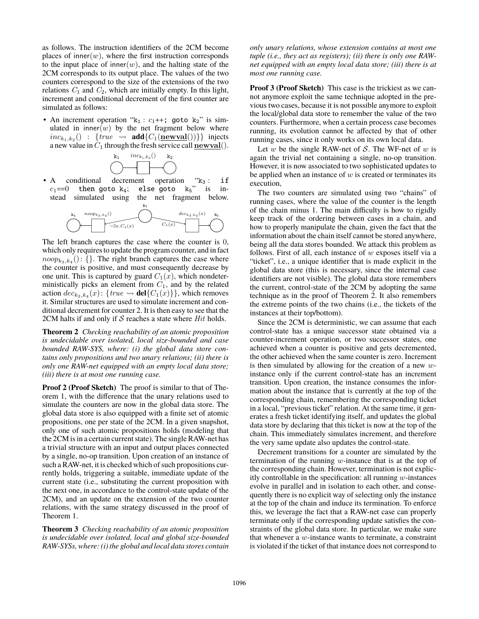as follows. The instruction identifiers of the 2CM become places of inner $(w)$ , where the first instruction corresponds to the input place of inner(w), and the halting state of the 2CM corresponds to its output place. The values of the two counters correspond to the size of the extensions of the two relations  $C_1$  and  $C_2$ , which are initially empty. In this light, increment and conditional decrement of the first counter are simulated as follows:

• An increment operation " $k_1$  :  $c_1$ ++; goto  $k_2$ " is simulated in inner( $w$ ) by the net fragment below where  $inc_{k_1,k_2}()$  : {*true*  $\rightsquigarrow$  **add**{ $C_1(\underline{\textbf{newval}}())$ }} injects a new value in  $C_1$  through the fresh service call  $\mathbf{newval}()$ .



• A conditional decrement operation " $k_3$ : if  $c_1 = 0$  then got o  $k_4$ : else got o  $k_5$ " is in $c_1 == 0$  then goto  $k_4$ ; else goto  $k_5$ " is in-<br>stead simulated using the net fragment below stead simulated using the net fragment below.



The left branch captures the case where the counter is 0, which only requires to update the program counter, and in fact  $noop_{k_3,k_4}$  (): {}. The right branch captures the case where the counter is positive, and must consequently decrease by one unit. This is captured by guard  $C_1(x)$ , which nondeterministically picks an element from  $C_1$ , and by the related action  $dec_{k_3,k_4}(x)$ : {*true*  $\leadsto$  **del**{ $C_1(x)$ }}, which removes it. Similar structures are used to simulate increment and conditional decrement for counter 2. It is then easy to see that the 2CM halts if and only if <sup>S</sup> reaches a state where *Hit* holds.

**Theorem 2** *Checking reachability of an atomic proposition is undecidable over isolated, local size-bounded and case bounded RAW-SYS, where: (i) the global data store contains only propositions and two unary relations; (ii) there is only one RAW-net equipped with an empty local data store; (iii) there is at most one running case.*

**Proof 2 (Proof Sketch)** The proof is similar to that of Theorem 1, with the difference that the unary relations used to simulate the counters are now in the global data store. The global data store is also equipped with a finite set of atomic propositions, one per state of the 2CM. In a given snapshot, only one of such atomic propositions holds (modeling that the 2CM is in a certain current state). The single RAW-net has a trivial structure with an input and output places connected by a single, no-op transition. Upon creation of an instance of such a RAW-net, it is checked which of such propositions currently holds, triggering a suitable, immediate update of the current state (i.e., substituting the current proposition with the next one, in accordance to the control-state update of the 2CM), and an update on the extension of the two counter relations, with the same strategy discussed in the proof of Theorem 1.

**Theorem 3** *Checking reachability of an atomic proposition is undecidable over isolated, local and global size-bounded RAW-SYSs, where: (i) the global and local data stores contain* *only unary relations, whose extension contains at most one tuple (i.e., they act as registers); (ii) there is only one RAWnet equipped with an empty local data store; (iii) there is at most one running case.*

**Proof 3 (Proof Sketch)** This case is the trickiest as we cannot anymore exploit the same technique adopted in the previous two cases, because it is not possible anymore to exploit the local/global data store to remember the value of the two counters. Furthermore, when a certain process case becomes running, its evolution cannot be affected by that of other running cases, since it only works on its own local data.

Let  $w$  be the single RAW-net of  $S$ . The WF-net of  $w$  is again the trivial net containing a single, no-op transition. However, it is now associated to two sophisticated updates to be applied when an instance of  $w$  is created or terminates its execution,

The two counters are simulated using two "chains" of running cases, where the value of the counter is the length of the chain minus 1. The main difficulty is how to rigidly keep track of the ordering between cases in a chain, and how to properly manipulate the chain, given the fact that the information about the chain itself cannot be stored anywhere, being all the data stores bounded. We attack this problem as follows. First of all, each instance of  $w$  exposes itself via a "ticket", i.e., a unique identifier that is made explicit in the global data store (this is necessary, since the internal case identifiers are not visible). The global data store remembers the current, control-state of the 2CM by adopting the same technique as in the proof of Theorem 2. It also remembers the extreme points of the two chains (i.e., the tickets of the instances at their top/bottom).

Since the 2CM is deterministic, we can assume that each control-state has a unique successor state obtained via a counter-increment operation, or two successor states, one achieved when a counter is positive and gets decremented, the other achieved when the same counter is zero. Increment is then simulated by allowing for the creation of a new  $w$ instance only if the current control-state has an increment transition. Upon creation, the instance consumes the information about the instance that is currently at the top of the corresponding chain, remembering the corresponding ticket in a local, "previous ticket" relation. At the same time, it generates a fresh ticket identifying itself, and updates the global data store by declaring that this ticket is now at the top of the chain. This immediately simulates increment, and therefore the very same update also updates the control-state.

Decrement transitions for a counter are simulated by the termination of the running  $w$ -instance that is at the top of the corresponding chain. However, termination is not explicitly controllable in the specification: all running  $w$ -instances evolve in parallel and in isolation to each other, and consequently there is no explicit way of selecting only the instance at the top of the chain and induce its termination. To enforce this, we leverage the fact that a RAW-net case can properly terminate only if the corresponding update satisfies the constraints of the global data store. In particular, we make sure that whenever a  $w$ -instance wants to terminate, a constraint is violated if the ticket of that instance does not correspond to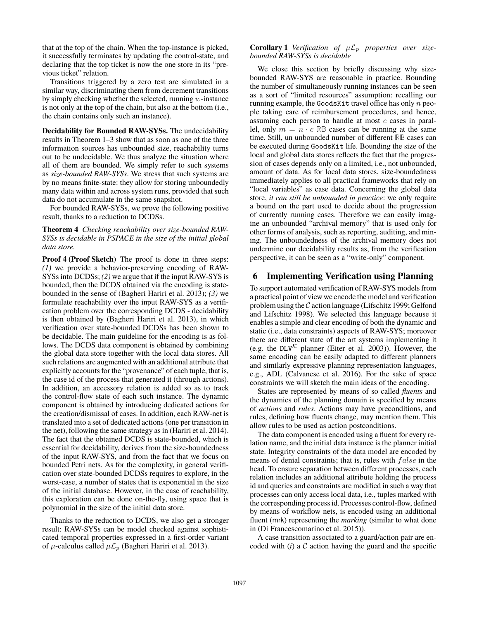that at the top of the chain. When the top-instance is picked, it successfully terminates by updating the control-state, and declaring that the top ticket is now the one store in its "previous ticket" relation.

Transitions triggered by a zero test are simulated in a similar way, discriminating them from decrement transitions by simply checking whether the selected, running  $w$ -instance is not only at the top of the chain, but also at the bottom (i.e., the chain contains only such an instance).

**Decidability for Bounded RAW-SYSs.** The undecidability results in Theorem 1–3 show that as soon as one of the three information sources has unbounded size, reachability turns out to be undecidable. We thus analyze the situation where all of them are bounded. We simply refer to such systems as *size-bounded RAW-SYSs*. We stress that such systems are by no means finite-state: they allow for storing unboundedly many data within and across system runs, provided that such data do not accumulate in the same snapshot.

For bounded RAW-SYSs, we prove the following positive result, thanks to a reduction to DCDSs.

### **Theorem 4** *Checking reachability over size-bounded RAW-SYSs is decidable in PSPACE in the size of the initial global data store.*

**Proof 4 (Proof Sketch)** The proof is done in three steps: *(1)* we provide a behavior-preserving encoding of RAW-SYSs into DCDSs; *(2)* we argue that if the input RAW-SYS is bounded, then the DCDS obtained via the encoding is statebounded in the sense of (Bagheri Hariri et al. 2013); *(3)* we formulate reachability over the input RAW-SYS as a verification problem over the corresponding DCDS - decidability is then obtained by (Bagheri Hariri et al. 2013), in which verification over state-bounded DCDSs has been shown to be decidable. The main guideline for the encoding is as follows. The DCDS data component is obtained by combining the global data store together with the local data stores. All such relations are augmented with an additional attribute that explicitly accounts for the "provenance" of each tuple, that is, the case id of the process that generated it (through actions). In addition, an accessory relation is added so as to track the control-flow state of each such instance. The dynamic component is obtained by introducing dedicated actions for the creation/dismissal of cases. In addition, each RAW-net is translated into a set of dedicated actions (one per transition in the net), following the same strategy as in (Hariri et al. 2014). The fact that the obtained DCDS is state-bounded, which is essential for decidability, derives from the size-boundedness of the input RAW-SYS, and from the fact that we focus on bounded Petri nets. As for the complexity, in general verification over state-bounded DCDSs requires to explore, in the worst-case, a number of states that is exponential in the size of the initial database. However, in the case of reachability, this exploration can be done on-the-fly, using space that is polynomial in the size of the initial data store.

Thanks to the reduction to DCDS, we also get a stronger result: RAW-SYSs can be model checked against sophisticated temporal properties expressed in a first-order variant of  $\mu$ -calculus called  $\mu$  $\mathcal{L}_p$  (Bagheri Hariri et al. 2013).

# **Corollary 1** *Verification of*  $\mu \mathcal{L}_p$  *properties over sizebounded RAW-SYSs is decidable*

We close this section by briefly discussing why sizebounded RAW-SYS are reasonable in practice. Bounding the number of simultaneously running instances can be seen as a sort of "limited resources" assumption: recalling our running example, the GoodsKit travel office has only  $n$  people taking care of reimbursement procedures, and hence, assuming each person to handle at most  $c$  cases in parallel, only  $m = n \cdot c$  RB cases can be running at the same time. Still, un unbounded number of different **RB** cases can be executed during GoodsKit life. Bounding the size of the local and global data stores reflects the fact that the progression of cases depends only on a limited, i.e., not unbounded, amount of data. As for local data stores, size-boundedness immediately applies to all practical frameworks that rely on "local variables" as case data. Concerning the global data store, *it can still be unbounded in practice*: we only require a bound on the part used to decide about the progression of currently running cases. Therefore we can easily imagine an unbounded "archival memory" that is used only for other forms of analysis, such as reporting, auditing, and mining. The unboundedness of the archival memory does not undermine our decidability results as, from the verification perspective, it can be seen as a "write-only" component.

# **6 Implementing Verification using Planning**

To support automated verification of RAW-SYS models from a practical point of view we encode the model and verification problem using the  $\mathcal C$  action language (Lifschitz 1999; Gelfond and Lifschitz 1998). We selected this language because it enables a simple and clear encoding of both the dynamic and static (i.e., data constraints) aspects of RAW-SYS; moreover there are different state of the art systems implementing it (e.g. the DLV<sup>K</sup> planner (Eiter et al. 2003)). However, the same encoding can be easily adapted to different planners and similarly expressive planning representation languages, e.g., ADL (Calvanese et al. 2016). For the sake of space constraints we will sketch the main ideas of the encoding.

States are represented by means of so called *fluents* and the dynamics of the planning domain is specified by means of *actions* and *rules*. Actions may have preconditions, and rules, defining how fluents change, may mention them. This allow rules to be used as action postconditions.

The data component is encoded using a fluent for every relation name, and the initial data instance is the planner initial state. Integrity constraints of the data model are encoded by means of denial constraints; that is, rules with  $false$  in the head. To ensure separation between different processes, each relation includes an additional attribute holding the process id and queries and constraints are modified in such a way that processes can only access local data, i.e., tuples marked with the corresponding process id. Processes control-flow, defined by means of workflow nets, is encoded using an additional fluent (mrk) representing the *marking* (similar to what done in (Di Francescomarino et al. 2015)).

A case transition associated to a guard/action pair are encoded with  $(i)$  a  $C$  action having the guard and the specific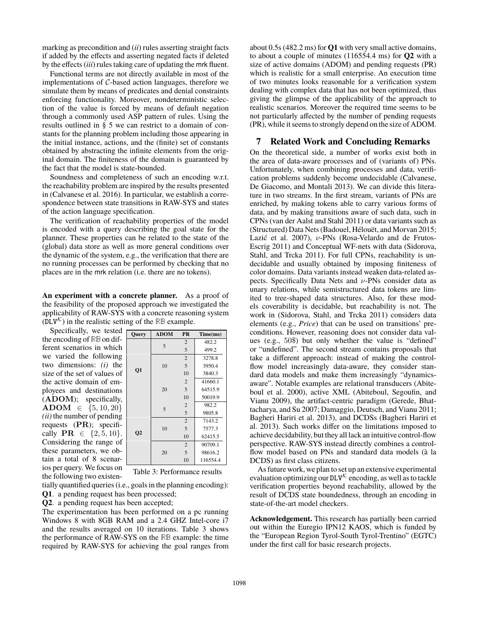marking as precondition and (*ii*) rules asserting straight facts if added by the effects and asserting negated facts if deleted by the effects (*iii*) rules taking care of updating the mrk fluent.

Functional terms are not directly available in most of the implementations of  $C$ -based action languages, therefore we simulate them by means of predicates and denial constraints enforcing functionality. Moreover, nondeterministic selection of the value is forced by means of default negation through a commonly used ASP pattern of rules. Using the results outlined in § 5 we can restrict to a domain of constants for the planning problem including those appearing in the initial instance, actions, and the (finite) set of constants obtained by abstracting the infinite elements from the original domain. The finiteness of the domain is guaranteed by the fact that the model is state-bounded.

Soundness and completeness of such an encoding w.r.t. the reachability problem are inspired by the results presented in (Calvanese et al. 2016). In particular, we establish a correspondence between state transitions in RAW-SYS and states of the action language specification.

The verification of reachability properties of the model is encoded with a query describing the goal state for the planner. These properties can be related to the state of the (global) data store as well as more general conditions over the dynamic of the system, e.g., the verification that there are no running processes can be performed by checking that no places are in the mrk relation (i.e. there are no tokens).

**An experiment with a concrete planner.** As a proof of the feasibility of the proposed approach we investigated the applicability of RAW-SYS with a concrete reasoning system  $(DLV^{\mathcal{K}})$  in the realistic setting of the RB example.

Specifically, we tested  $\sqrt{\text{Query} \mid \text{ADOM} \mid \text{PR} \mid \text{Time}(\text{ms})}$ the encoding of **RB** on different scenarios in which we varied the following two dimensions: *(i)* the size of the set of values of the active domain of employees and destinations (**ADOM**); specifically, **ADOM**  $\in \{5, 10, 20\}$ *(ii)* the number of pending requests (**PR**); specifically  $PR \in \{2, 5, 10\}.$ Considering the range of these parameters, we obtain a total of 8 scenarios per query. We focus on the following two existen-

| Vuci y         | ADUNI | . .            | 1 mile(m.s) |
|----------------|-------|----------------|-------------|
| Q1             | 5     | $\overline{c}$ | 482.2       |
|                |       | 5              | 499.2       |
|                |       | $\overline{2}$ | 3278.8      |
|                | 10    | 5              | 3950.4      |
|                |       | 10             | 3840.3      |
|                | 20    | $\overline{2}$ | 41660.1     |
|                |       | 5              | 64515.9     |
|                |       | 10             | 50019.9     |
|                | 5     | $\overline{c}$ | 982.2       |
|                |       | 5              | 9805.8      |
|                |       | $\overline{2}$ | 7143.2      |
|                | 10    | 5              | 7577.3      |
| Q <sub>2</sub> |       | 10             | 62415.5     |
|                |       | $\overline{2}$ | 90709.1     |
|                | 20    | 5              | 98616.2     |
|                |       | 10             | 116554.4    |

Table 3: Performance results

tially quantified queries (i.e., goals in the planning encoding):

**Q1**. a pending request has been processed;

**Q2**. a pending request has been accepted;

The experimentation has been performed on a pc running Windows 8 with 8GB RAM and a 2.4 GHZ Intel-core i7 and the results averaged on 10 iterations. Table 3 shows the performance of RAW-SYS on the **RB** example: the time required by RAW-SYS for achieving the goal ranges from

about 0.5s (482.2 ms) for **Q1** with very small active domains, to about a couple of minutes (116554.4 ms) for **Q2** with a size of active domains (ADOM) and pending requests (PR) which is realistic for a small enterprise. An execution time of two minutes looks reasonable for a verification system dealing with complex data that has not been optimized, thus giving the glimpse of the applicability of the approach to realistic scenarios. Moreover the required time seems to be not particularly affected by the number of pending requests (PR), while it seems to strongly depend on the size of ADOM.

# **7 Related Work and Concluding Remarks**

On the theoretical side, a number of works exist both in the area of data-aware processes and of (variants of) PNs. Unfortunately, when combining processes and data, verification problems suddenly become undecidable (Calvanese, De Giacomo, and Montali 2013). We can divide this literature in two streams. In the first stream, variants of PNs are enriched, by making tokens able to carry various forms of data, and by making transitions aware of such data, such in CPNs (van der Aalst and Stahl 2011) or data variants such as (Structured) Data Nets (Badouel, Hélouët, and Morvan 2015; Lazić et al. 2007), ν-PNs (Rosa-Velardo and de Frutos-Escrig 2011) and Conceptual WF-nets with data (Sidorova, Stahl, and Trcka 2011). For full CPNs, reachability is undecidable and usually obtained by imposing finiteness of color domains. Data variants instead weaken data-related aspects. Specifically Data Nets and  $\nu$ -PNs consider data as unary relations, while semistructured data tokens are limited to tree-shaped data structures. Also, for these models coverability is decidable, but reachability is not. The work in (Sidorova, Stahl, and Trcka 2011) considers data elements (e.g., *Price*) that can be used on transitions' preconditions. However, reasoning does not consider data values (e.g., 50\$) but only whether the value is "defined" or "undefined". The second stream contains proposals that take a different approach: instead of making the controlflow model increasingly data-aware, they consider standard data models and make them increasingly "dynamicsaware". Notable examples are relational transducers (Abiteboul et al. 2000), active XML (Abiteboul, Segoufin, and Vianu 2009), the artifact-centric paradigm (Gerede, Bhattacharya, and Su 2007; Damaggio, Deutsch, and Vianu 2011; Bagheri Hariri et al. 2013), and DCDSs (Bagheri Hariri et al. 2013). Such works differ on the limitations imposed to achieve decidability, but they all lack an intuitive control-flow perspective. RAW-SYS instead directly combines a controlflow model based on PNs and standard data models (à la DCDS) as first class citizens.

As future work, we plan to set up an extensive experimental evaluation optimizing our  $DLV^{\mathcal{K}}$  encoding, as well as to tackle verification properties beyond reachability, allowed by the result of DCDS state boundedness, through an encoding in state-of-the-art model checkers.

**Acknowledgement.** This research has partially been carried out within the Euregio IPN12 KAOS, which is funded by the "European Region Tyrol-South Tyrol-Trentino" (EGTC) under the first call for basic research projects.